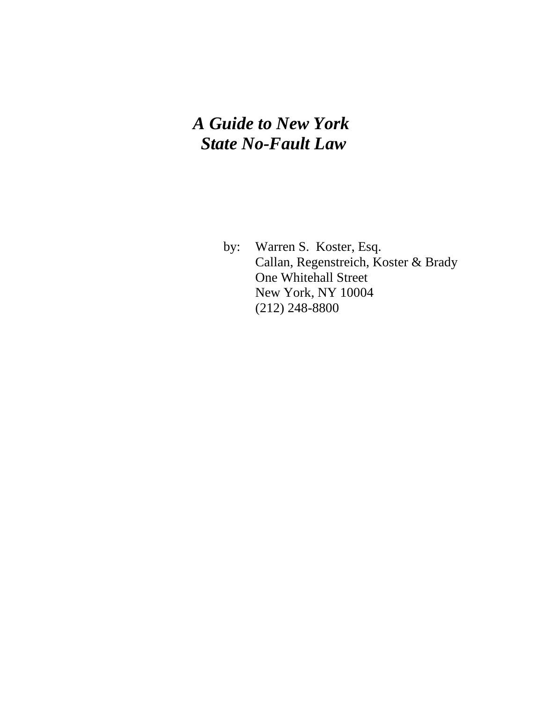# *A Guide to New York State No-Fault Law*

 by: Warren S. Koster, Esq. Callan, Regenstreich, Koster & Brady One Whitehall Street New York, NY 10004 (212) 248-8800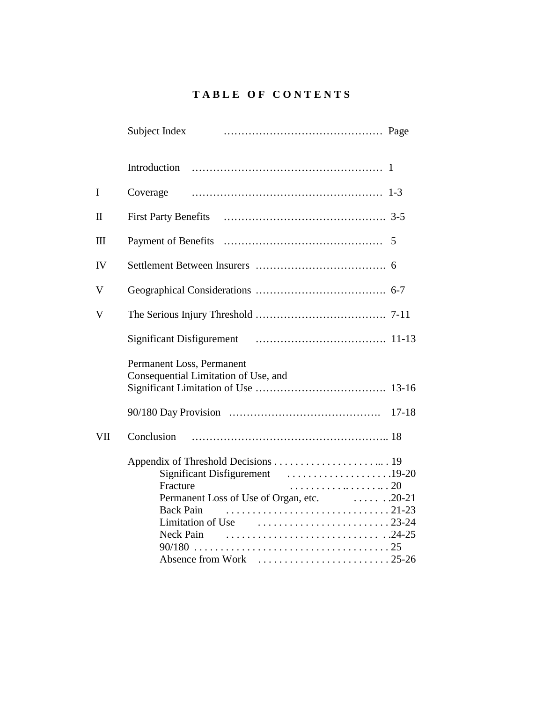# **T A B L E O F C O N T E N T S**

|              | Subject Index                                                                                                  |
|--------------|----------------------------------------------------------------------------------------------------------------|
|              | Introduction                                                                                                   |
| I            | Coverage                                                                                                       |
| $\mathbf{I}$ |                                                                                                                |
| $\mathbf{I}$ |                                                                                                                |
| IV           |                                                                                                                |
| $\mathbf V$  |                                                                                                                |
| V            |                                                                                                                |
|              |                                                                                                                |
|              | Permanent Loss, Permanent<br>Consequential Limitation of Use, and                                              |
|              |                                                                                                                |
| VII          | Conclusion                                                                                                     |
|              | Fracture<br><b>Back Pain</b><br>Limitation of Use $\ldots, \ldots, \ldots, \ldots, \ldots, 23-24$<br>Neck Pain |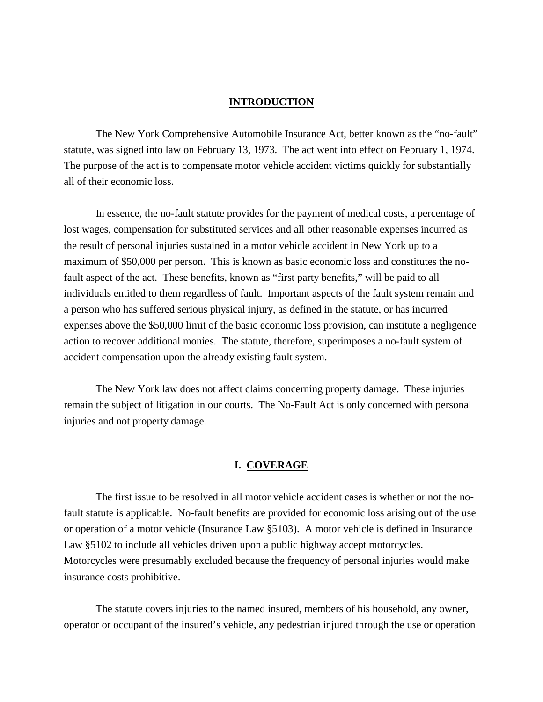# **INTRODUCTION**

 The New York Comprehensive Automobile Insurance Act, better known as the "no-fault" statute, was signed into law on February 13, 1973. The act went into effect on February 1, 1974. The purpose of the act is to compensate motor vehicle accident victims quickly for substantially all of their economic loss.

 In essence, the no-fault statute provides for the payment of medical costs, a percentage of lost wages, compensation for substituted services and all other reasonable expenses incurred as the result of personal injuries sustained in a motor vehicle accident in New York up to a maximum of \$50,000 per person. This is known as basic economic loss and constitutes the nofault aspect of the act. These benefits, known as "first party benefits," will be paid to all individuals entitled to them regardless of fault. Important aspects of the fault system remain and a person who has suffered serious physical injury, as defined in the statute, or has incurred expenses above the \$50,000 limit of the basic economic loss provision, can institute a negligence action to recover additional monies. The statute, therefore, superimposes a no-fault system of accident compensation upon the already existing fault system.

 The New York law does not affect claims concerning property damage. These injuries remain the subject of litigation in our courts. The No-Fault Act is only concerned with personal injuries and not property damage.

# **I. COVERAGE**

 The first issue to be resolved in all motor vehicle accident cases is whether or not the nofault statute is applicable. No-fault benefits are provided for economic loss arising out of the use or operation of a motor vehicle (Insurance Law §5103). A motor vehicle is defined in Insurance Law §5102 to include all vehicles driven upon a public highway accept motorcycles. Motorcycles were presumably excluded because the frequency of personal injuries would make insurance costs prohibitive.

 The statute covers injuries to the named insured, members of his household, any owner, operator or occupant of the insured's vehicle, any pedestrian injured through the use or operation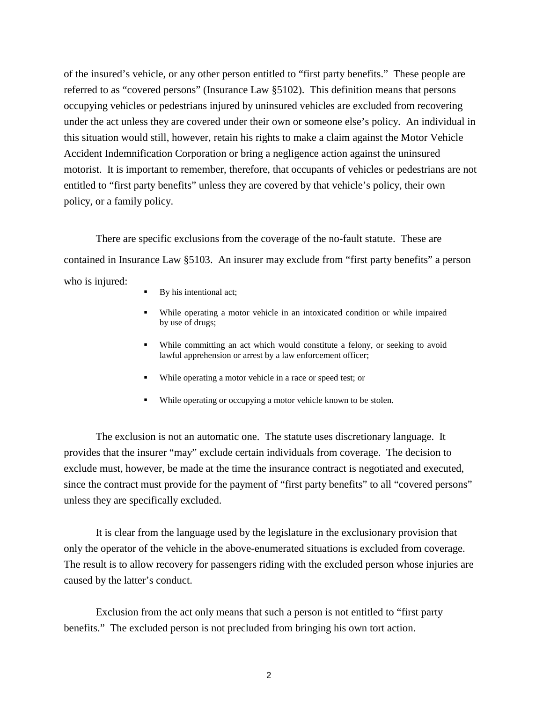of the insured's vehicle, or any other person entitled to "first party benefits." These people are referred to as "covered persons" (Insurance Law §5102). This definition means that persons occupying vehicles or pedestrians injured by uninsured vehicles are excluded from recovering under the act unless they are covered under their own or someone else's policy. An individual in this situation would still, however, retain his rights to make a claim against the Motor Vehicle Accident Indemnification Corporation or bring a negligence action against the uninsured motorist. It is important to remember, therefore, that occupants of vehicles or pedestrians are not entitled to "first party benefits" unless they are covered by that vehicle's policy, their own policy, or a family policy.

 There are specific exclusions from the coverage of the no-fault statute. These are contained in Insurance Law §5103. An insurer may exclude from "first party benefits" a person who is injured:

- By his intentional act;
- ! While operating a motor vehicle in an intoxicated condition or while impaired by use of drugs;
- ! While committing an act which would constitute a felony, or seeking to avoid lawful apprehension or arrest by a law enforcement officer;
- ! While operating a motor vehicle in a race or speed test; or
- ! While operating or occupying a motor vehicle known to be stolen.

 The exclusion is not an automatic one. The statute uses discretionary language. It provides that the insurer "may" exclude certain individuals from coverage. The decision to exclude must, however, be made at the time the insurance contract is negotiated and executed, since the contract must provide for the payment of "first party benefits" to all "covered persons" unless they are specifically excluded.

 It is clear from the language used by the legislature in the exclusionary provision that only the operator of the vehicle in the above-enumerated situations is excluded from coverage. The result is to allow recovery for passengers riding with the excluded person whose injuries are caused by the latter's conduct.

 Exclusion from the act only means that such a person is not entitled to "first party benefits." The excluded person is not precluded from bringing his own tort action.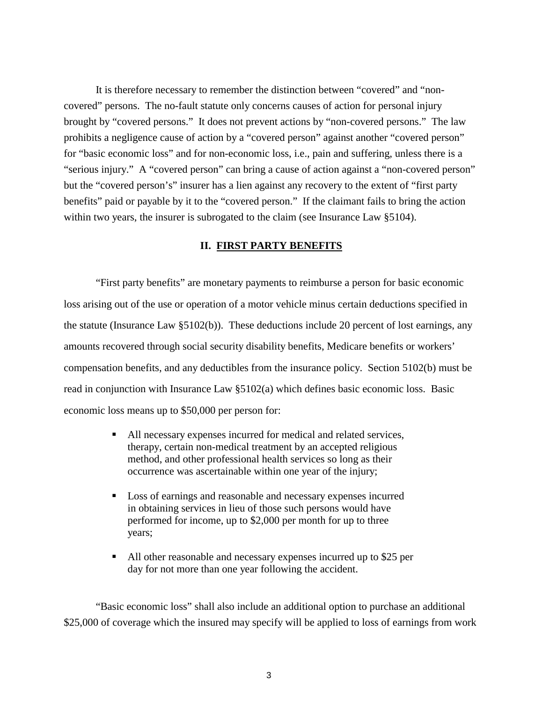It is therefore necessary to remember the distinction between "covered" and "noncovered" persons. The no-fault statute only concerns causes of action for personal injury brought by "covered persons." It does not prevent actions by "non-covered persons." The law prohibits a negligence cause of action by a "covered person" against another "covered person" for "basic economic loss" and for non-economic loss, i.e., pain and suffering, unless there is a "serious injury." A "covered person" can bring a cause of action against a "non-covered person" but the "covered person's" insurer has a lien against any recovery to the extent of "first party benefits" paid or payable by it to the "covered person." If the claimant fails to bring the action within two years, the insurer is subrogated to the claim (see Insurance Law §5104).

#### **II. FIRST PARTY BENEFITS**

 "First party benefits" are monetary payments to reimburse a person for basic economic loss arising out of the use or operation of a motor vehicle minus certain deductions specified in the statute (Insurance Law §5102(b)). These deductions include 20 percent of lost earnings, any amounts recovered through social security disability benefits, Medicare benefits or workers' compensation benefits, and any deductibles from the insurance policy. Section 5102(b) must be read in conjunction with Insurance Law §5102(a) which defines basic economic loss. Basic economic loss means up to \$50,000 per person for:

- ! All necessary expenses incurred for medical and related services, therapy, certain non-medical treatment by an accepted religious method, and other professional health services so long as their occurrence was ascertainable within one year of the injury;
- ! Loss of earnings and reasonable and necessary expenses incurred in obtaining services in lieu of those such persons would have performed for income, up to \$2,000 per month for up to three years;
- ! All other reasonable and necessary expenses incurred up to \$25 per day for not more than one year following the accident.

 "Basic economic loss" shall also include an additional option to purchase an additional \$25,000 of coverage which the insured may specify will be applied to loss of earnings from work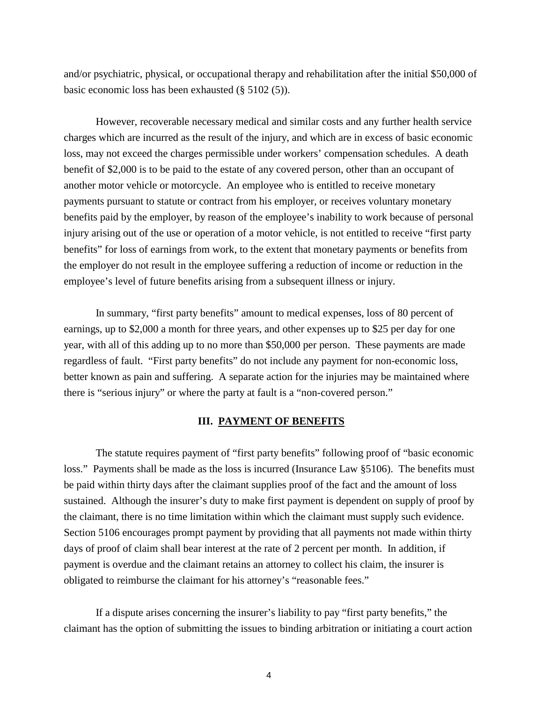and/or psychiatric, physical, or occupational therapy and rehabilitation after the initial \$50,000 of basic economic loss has been exhausted (§ 5102 (5)).

 However, recoverable necessary medical and similar costs and any further health service charges which are incurred as the result of the injury, and which are in excess of basic economic loss, may not exceed the charges permissible under workers' compensation schedules. A death benefit of \$2,000 is to be paid to the estate of any covered person, other than an occupant of another motor vehicle or motorcycle. An employee who is entitled to receive monetary payments pursuant to statute or contract from his employer, or receives voluntary monetary benefits paid by the employer, by reason of the employee's inability to work because of personal injury arising out of the use or operation of a motor vehicle, is not entitled to receive "first party benefits" for loss of earnings from work, to the extent that monetary payments or benefits from the employer do not result in the employee suffering a reduction of income or reduction in the employee's level of future benefits arising from a subsequent illness or injury.

 In summary, "first party benefits" amount to medical expenses, loss of 80 percent of earnings, up to \$2,000 a month for three years, and other expenses up to \$25 per day for one year, with all of this adding up to no more than \$50,000 per person. These payments are made regardless of fault. "First party benefits" do not include any payment for non-economic loss, better known as pain and suffering. A separate action for the injuries may be maintained where there is "serious injury" or where the party at fault is a "non-covered person."

# **III. PAYMENT OF BENEFITS**

 The statute requires payment of "first party benefits" following proof of "basic economic loss." Payments shall be made as the loss is incurred (Insurance Law §5106). The benefits must be paid within thirty days after the claimant supplies proof of the fact and the amount of loss sustained. Although the insurer's duty to make first payment is dependent on supply of proof by the claimant, there is no time limitation within which the claimant must supply such evidence. Section 5106 encourages prompt payment by providing that all payments not made within thirty days of proof of claim shall bear interest at the rate of 2 percent per month. In addition, if payment is overdue and the claimant retains an attorney to collect his claim, the insurer is obligated to reimburse the claimant for his attorney's "reasonable fees."

 If a dispute arises concerning the insurer's liability to pay "first party benefits," the claimant has the option of submitting the issues to binding arbitration or initiating a court action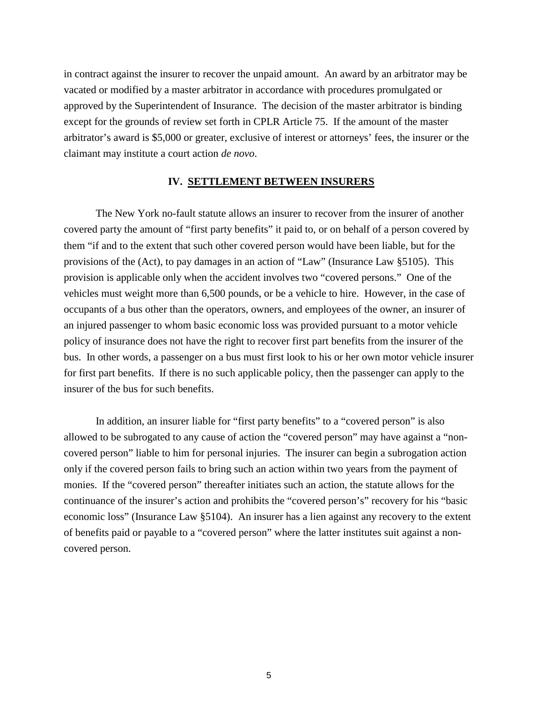in contract against the insurer to recover the unpaid amount. An award by an arbitrator may be vacated or modified by a master arbitrator in accordance with procedures promulgated or approved by the Superintendent of Insurance. The decision of the master arbitrator is binding except for the grounds of review set forth in CPLR Article 75. If the amount of the master arbitrator's award is \$5,000 or greater, exclusive of interest or attorneys' fees, the insurer or the claimant may institute a court action *de novo*.

#### **IV. SETTLEMENT BETWEEN INSURERS**

 The New York no-fault statute allows an insurer to recover from the insurer of another covered party the amount of "first party benefits" it paid to, or on behalf of a person covered by them "if and to the extent that such other covered person would have been liable, but for the provisions of the (Act), to pay damages in an action of "Law" (Insurance Law §5105). This provision is applicable only when the accident involves two "covered persons." One of the vehicles must weight more than 6,500 pounds, or be a vehicle to hire. However, in the case of occupants of a bus other than the operators, owners, and employees of the owner, an insurer of an injured passenger to whom basic economic loss was provided pursuant to a motor vehicle policy of insurance does not have the right to recover first part benefits from the insurer of the bus. In other words, a passenger on a bus must first look to his or her own motor vehicle insurer for first part benefits. If there is no such applicable policy, then the passenger can apply to the insurer of the bus for such benefits.

 In addition, an insurer liable for "first party benefits" to a "covered person" is also allowed to be subrogated to any cause of action the "covered person" may have against a "noncovered person" liable to him for personal injuries. The insurer can begin a subrogation action only if the covered person fails to bring such an action within two years from the payment of monies. If the "covered person" thereafter initiates such an action, the statute allows for the continuance of the insurer's action and prohibits the "covered person's" recovery for his "basic economic loss" (Insurance Law §5104). An insurer has a lien against any recovery to the extent of benefits paid or payable to a "covered person" where the latter institutes suit against a noncovered person.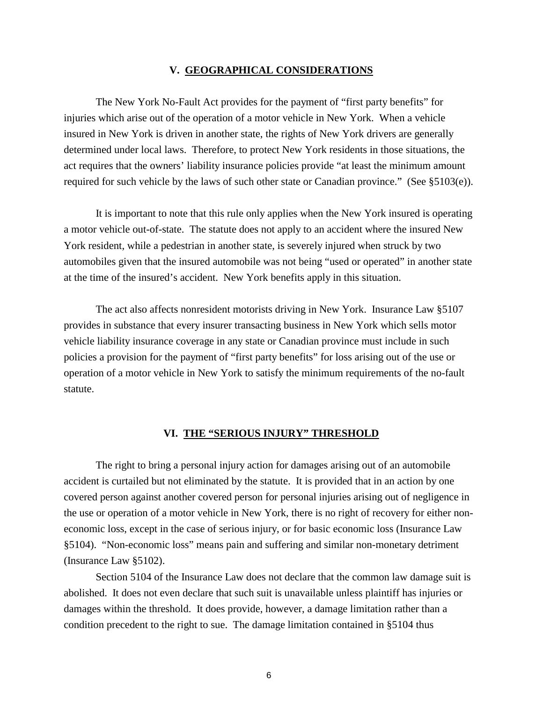#### **V. GEOGRAPHICAL CONSIDERATIONS**

 The New York No-Fault Act provides for the payment of "first party benefits" for injuries which arise out of the operation of a motor vehicle in New York. When a vehicle insured in New York is driven in another state, the rights of New York drivers are generally determined under local laws. Therefore, to protect New York residents in those situations, the act requires that the owners' liability insurance policies provide "at least the minimum amount required for such vehicle by the laws of such other state or Canadian province." (See §5103(e)).

 It is important to note that this rule only applies when the New York insured is operating a motor vehicle out-of-state. The statute does not apply to an accident where the insured New York resident, while a pedestrian in another state, is severely injured when struck by two automobiles given that the insured automobile was not being "used or operated" in another state at the time of the insured's accident. New York benefits apply in this situation.

 The act also affects nonresident motorists driving in New York. Insurance Law §5107 provides in substance that every insurer transacting business in New York which sells motor vehicle liability insurance coverage in any state or Canadian province must include in such policies a provision for the payment of "first party benefits" for loss arising out of the use or operation of a motor vehicle in New York to satisfy the minimum requirements of the no-fault statute.

#### **VI. THE "SERIOUS INJURY" THRESHOLD**

 The right to bring a personal injury action for damages arising out of an automobile accident is curtailed but not eliminated by the statute. It is provided that in an action by one covered person against another covered person for personal injuries arising out of negligence in the use or operation of a motor vehicle in New York, there is no right of recovery for either noneconomic loss, except in the case of serious injury, or for basic economic loss (Insurance Law §5104). "Non-economic loss" means pain and suffering and similar non-monetary detriment (Insurance Law §5102).

 Section 5104 of the Insurance Law does not declare that the common law damage suit is abolished. It does not even declare that such suit is unavailable unless plaintiff has injuries or damages within the threshold. It does provide, however, a damage limitation rather than a condition precedent to the right to sue. The damage limitation contained in §5104 thus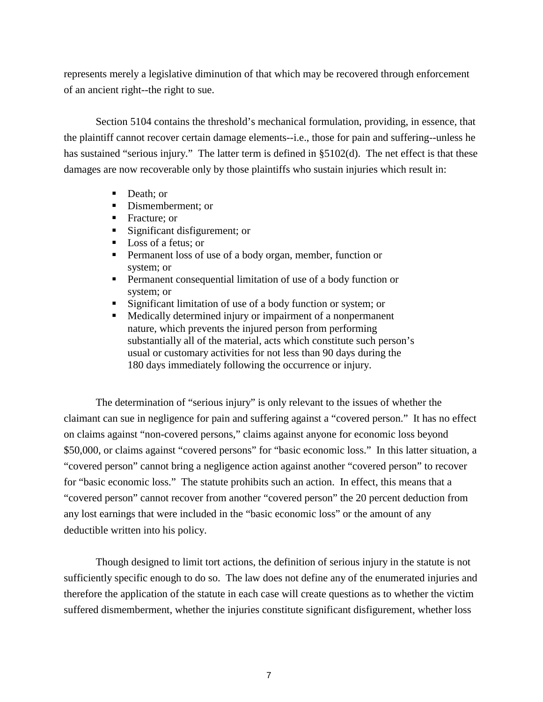represents merely a legislative diminution of that which may be recovered through enforcement of an ancient right--the right to sue.

 Section 5104 contains the threshold's mechanical formulation, providing, in essence, that the plaintiff cannot recover certain damage elements--i.e., those for pain and suffering--unless he has sustained "serious injury." The latter term is defined in §5102(d). The net effect is that these damages are now recoverable only by those plaintiffs who sustain injuries which result in:

- Death: or
- **•** Dismemberment; or
- Fracture; or
- ! Significant disfigurement; or
- Loss of a fetus; or
- ! Permanent loss of use of a body organ, member, function or system; or
- ! Permanent consequential limitation of use of a body function or system; or
- ! Significant limitation of use of a body function or system; or
- ! Medically determined injury or impairment of a nonpermanent nature, which prevents the injured person from performing substantially all of the material, acts which constitute such person's usual or customary activities for not less than 90 days during the 180 days immediately following the occurrence or injury.

 The determination of "serious injury" is only relevant to the issues of whether the claimant can sue in negligence for pain and suffering against a "covered person." It has no effect on claims against "non-covered persons," claims against anyone for economic loss beyond \$50,000, or claims against "covered persons" for "basic economic loss." In this latter situation, a "covered person" cannot bring a negligence action against another "covered person" to recover for "basic economic loss." The statute prohibits such an action. In effect, this means that a "covered person" cannot recover from another "covered person" the 20 percent deduction from any lost earnings that were included in the "basic economic loss" or the amount of any deductible written into his policy.

 Though designed to limit tort actions, the definition of serious injury in the statute is not sufficiently specific enough to do so. The law does not define any of the enumerated injuries and therefore the application of the statute in each case will create questions as to whether the victim suffered dismemberment, whether the injuries constitute significant disfigurement, whether loss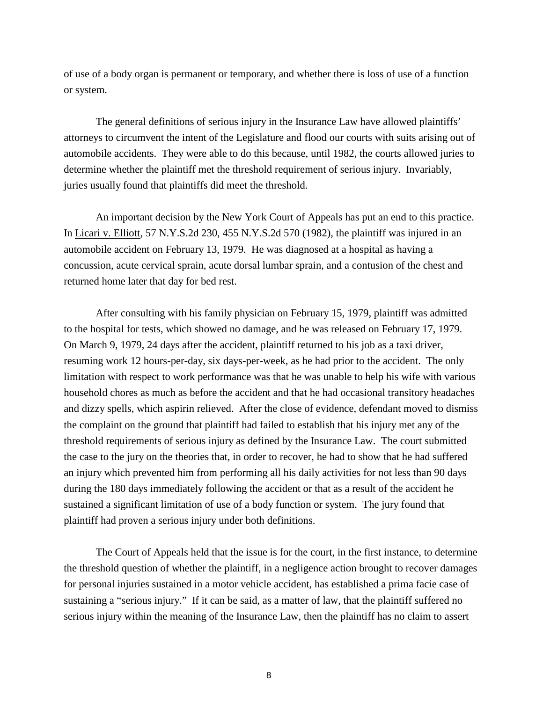of use of a body organ is permanent or temporary, and whether there is loss of use of a function or system.

 The general definitions of serious injury in the Insurance Law have allowed plaintiffs' attorneys to circumvent the intent of the Legislature and flood our courts with suits arising out of automobile accidents. They were able to do this because, until 1982, the courts allowed juries to determine whether the plaintiff met the threshold requirement of serious injury. Invariably, juries usually found that plaintiffs did meet the threshold.

 An important decision by the New York Court of Appeals has put an end to this practice. In Licari v. Elliott, 57 N.Y.S.2d 230, 455 N.Y.S.2d 570 (1982), the plaintiff was injured in an automobile accident on February 13, 1979. He was diagnosed at a hospital as having a concussion, acute cervical sprain, acute dorsal lumbar sprain, and a contusion of the chest and returned home later that day for bed rest.

 After consulting with his family physician on February 15, 1979, plaintiff was admitted to the hospital for tests, which showed no damage, and he was released on February 17, 1979. On March 9, 1979, 24 days after the accident, plaintiff returned to his job as a taxi driver, resuming work 12 hours-per-day, six days-per-week, as he had prior to the accident. The only limitation with respect to work performance was that he was unable to help his wife with various household chores as much as before the accident and that he had occasional transitory headaches and dizzy spells, which aspirin relieved. After the close of evidence, defendant moved to dismiss the complaint on the ground that plaintiff had failed to establish that his injury met any of the threshold requirements of serious injury as defined by the Insurance Law. The court submitted the case to the jury on the theories that, in order to recover, he had to show that he had suffered an injury which prevented him from performing all his daily activities for not less than 90 days during the 180 days immediately following the accident or that as a result of the accident he sustained a significant limitation of use of a body function or system. The jury found that plaintiff had proven a serious injury under both definitions.

 The Court of Appeals held that the issue is for the court, in the first instance, to determine the threshold question of whether the plaintiff, in a negligence action brought to recover damages for personal injuries sustained in a motor vehicle accident, has established a prima facie case of sustaining a "serious injury." If it can be said, as a matter of law, that the plaintiff suffered no serious injury within the meaning of the Insurance Law, then the plaintiff has no claim to assert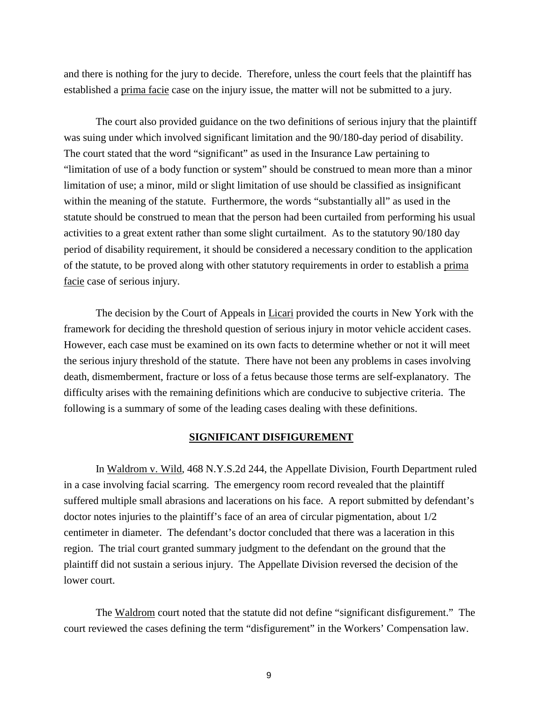and there is nothing for the jury to decide. Therefore, unless the court feels that the plaintiff has established a prima facie case on the injury issue, the matter will not be submitted to a jury.

 The court also provided guidance on the two definitions of serious injury that the plaintiff was suing under which involved significant limitation and the 90/180-day period of disability. The court stated that the word "significant" as used in the Insurance Law pertaining to "limitation of use of a body function or system" should be construed to mean more than a minor limitation of use; a minor, mild or slight limitation of use should be classified as insignificant within the meaning of the statute. Furthermore, the words "substantially all" as used in the statute should be construed to mean that the person had been curtailed from performing his usual activities to a great extent rather than some slight curtailment. As to the statutory 90/180 day period of disability requirement, it should be considered a necessary condition to the application of the statute, to be proved along with other statutory requirements in order to establish a prima facie case of serious injury.

 The decision by the Court of Appeals in Licari provided the courts in New York with the framework for deciding the threshold question of serious injury in motor vehicle accident cases. However, each case must be examined on its own facts to determine whether or not it will meet the serious injury threshold of the statute. There have not been any problems in cases involving death, dismemberment, fracture or loss of a fetus because those terms are self-explanatory. The difficulty arises with the remaining definitions which are conducive to subjective criteria. The following is a summary of some of the leading cases dealing with these definitions.

#### **SIGNIFICANT DISFIGUREMENT**

 In Waldrom v. Wild, 468 N.Y.S.2d 244, the Appellate Division, Fourth Department ruled in a case involving facial scarring. The emergency room record revealed that the plaintiff suffered multiple small abrasions and lacerations on his face. A report submitted by defendant's doctor notes injuries to the plaintiff's face of an area of circular pigmentation, about 1/2 centimeter in diameter. The defendant's doctor concluded that there was a laceration in this region. The trial court granted summary judgment to the defendant on the ground that the plaintiff did not sustain a serious injury. The Appellate Division reversed the decision of the lower court.

The Waldrom court noted that the statute did not define "significant disfigurement." The court reviewed the cases defining the term "disfigurement" in the Workers' Compensation law.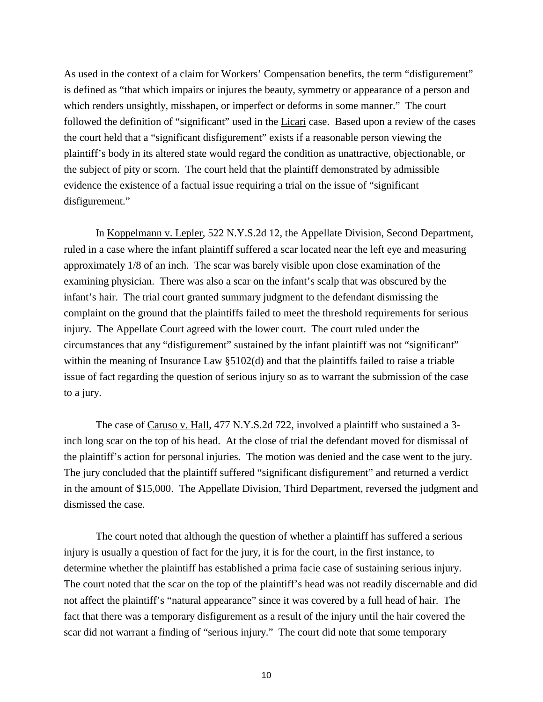As used in the context of a claim for Workers' Compensation benefits, the term "disfigurement" is defined as "that which impairs or injures the beauty, symmetry or appearance of a person and which renders unsightly, misshapen, or imperfect or deforms in some manner." The court followed the definition of "significant" used in the Licari case. Based upon a review of the cases the court held that a "significant disfigurement" exists if a reasonable person viewing the plaintiff's body in its altered state would regard the condition as unattractive, objectionable, or the subject of pity or scorn. The court held that the plaintiff demonstrated by admissible evidence the existence of a factual issue requiring a trial on the issue of "significant disfigurement."

 In Koppelmann v. Lepler, 522 N.Y.S.2d 12, the Appellate Division, Second Department, ruled in a case where the infant plaintiff suffered a scar located near the left eye and measuring approximately 1/8 of an inch. The scar was barely visible upon close examination of the examining physician. There was also a scar on the infant's scalp that was obscured by the infant's hair. The trial court granted summary judgment to the defendant dismissing the complaint on the ground that the plaintiffs failed to meet the threshold requirements for serious injury. The Appellate Court agreed with the lower court. The court ruled under the circumstances that any "disfigurement" sustained by the infant plaintiff was not "significant" within the meaning of Insurance Law §5102(d) and that the plaintiffs failed to raise a triable issue of fact regarding the question of serious injury so as to warrant the submission of the case to a jury.

 The case of Caruso v. Hall, 477 N.Y.S.2d 722, involved a plaintiff who sustained a 3 inch long scar on the top of his head. At the close of trial the defendant moved for dismissal of the plaintiff's action for personal injuries. The motion was denied and the case went to the jury. The jury concluded that the plaintiff suffered "significant disfigurement" and returned a verdict in the amount of \$15,000. The Appellate Division, Third Department, reversed the judgment and dismissed the case.

 The court noted that although the question of whether a plaintiff has suffered a serious injury is usually a question of fact for the jury, it is for the court, in the first instance, to determine whether the plaintiff has established a prima facie case of sustaining serious injury. The court noted that the scar on the top of the plaintiff's head was not readily discernable and did not affect the plaintiff's "natural appearance" since it was covered by a full head of hair. The fact that there was a temporary disfigurement as a result of the injury until the hair covered the scar did not warrant a finding of "serious injury." The court did note that some temporary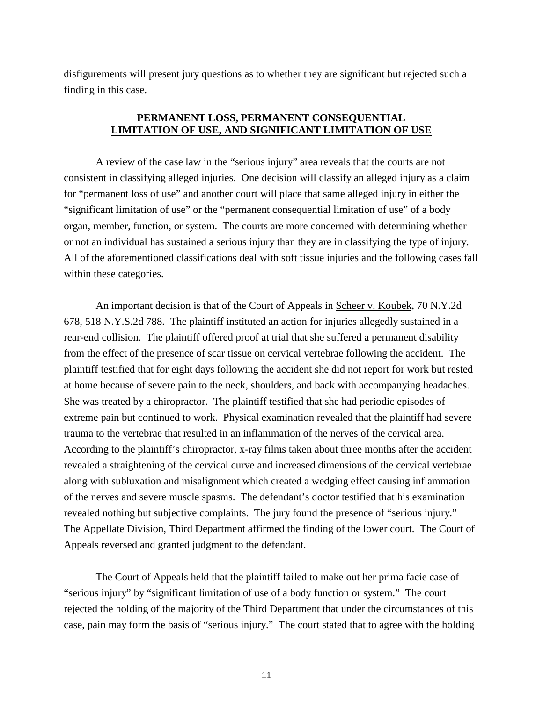disfigurements will present jury questions as to whether they are significant but rejected such a finding in this case.

# **PERMANENT LOSS, PERMANENT CONSEQUENTIAL LIMITATION OF USE, AND SIGNIFICANT LIMITATION OF USE**

 A review of the case law in the "serious injury" area reveals that the courts are not consistent in classifying alleged injuries. One decision will classify an alleged injury as a claim for "permanent loss of use" and another court will place that same alleged injury in either the "significant limitation of use" or the "permanent consequential limitation of use" of a body organ, member, function, or system. The courts are more concerned with determining whether or not an individual has sustained a serious injury than they are in classifying the type of injury. All of the aforementioned classifications deal with soft tissue injuries and the following cases fall within these categories.

 An important decision is that of the Court of Appeals in Scheer v. Koubek, 70 N.Y.2d 678, 518 N.Y.S.2d 788. The plaintiff instituted an action for injuries allegedly sustained in a rear-end collision. The plaintiff offered proof at trial that she suffered a permanent disability from the effect of the presence of scar tissue on cervical vertebrae following the accident. The plaintiff testified that for eight days following the accident she did not report for work but rested at home because of severe pain to the neck, shoulders, and back with accompanying headaches. She was treated by a chiropractor. The plaintiff testified that she had periodic episodes of extreme pain but continued to work. Physical examination revealed that the plaintiff had severe trauma to the vertebrae that resulted in an inflammation of the nerves of the cervical area. According to the plaintiff's chiropractor, x-ray films taken about three months after the accident revealed a straightening of the cervical curve and increased dimensions of the cervical vertebrae along with subluxation and misalignment which created a wedging effect causing inflammation of the nerves and severe muscle spasms. The defendant's doctor testified that his examination revealed nothing but subjective complaints. The jury found the presence of "serious injury." The Appellate Division, Third Department affirmed the finding of the lower court. The Court of Appeals reversed and granted judgment to the defendant.

 The Court of Appeals held that the plaintiff failed to make out her prima facie case of "serious injury" by "significant limitation of use of a body function or system." The court rejected the holding of the majority of the Third Department that under the circumstances of this case, pain may form the basis of "serious injury." The court stated that to agree with the holding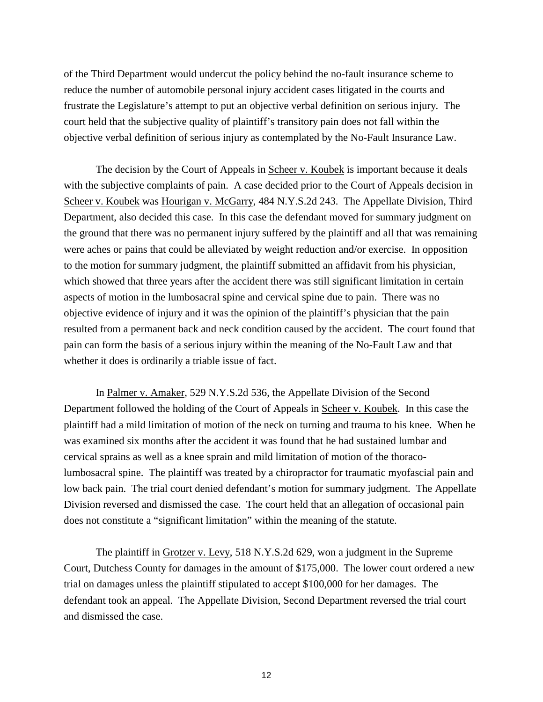of the Third Department would undercut the policy behind the no-fault insurance scheme to reduce the number of automobile personal injury accident cases litigated in the courts and frustrate the Legislature's attempt to put an objective verbal definition on serious injury. The court held that the subjective quality of plaintiff's transitory pain does not fall within the objective verbal definition of serious injury as contemplated by the No-Fault Insurance Law.

 The decision by the Court of Appeals in Scheer v. Koubek is important because it deals with the subjective complaints of pain. A case decided prior to the Court of Appeals decision in Scheer v. Koubek was Hourigan v. McGarry, 484 N.Y.S.2d 243. The Appellate Division, Third Department, also decided this case. In this case the defendant moved for summary judgment on the ground that there was no permanent injury suffered by the plaintiff and all that was remaining were aches or pains that could be alleviated by weight reduction and/or exercise. In opposition to the motion for summary judgment, the plaintiff submitted an affidavit from his physician, which showed that three years after the accident there was still significant limitation in certain aspects of motion in the lumbosacral spine and cervical spine due to pain. There was no objective evidence of injury and it was the opinion of the plaintiff's physician that the pain resulted from a permanent back and neck condition caused by the accident. The court found that pain can form the basis of a serious injury within the meaning of the No-Fault Law and that whether it does is ordinarily a triable issue of fact.

 In Palmer v. Amaker, 529 N.Y.S.2d 536, the Appellate Division of the Second Department followed the holding of the Court of Appeals in Scheer v. Koubek. In this case the plaintiff had a mild limitation of motion of the neck on turning and trauma to his knee. When he was examined six months after the accident it was found that he had sustained lumbar and cervical sprains as well as a knee sprain and mild limitation of motion of the thoracolumbosacral spine. The plaintiff was treated by a chiropractor for traumatic myofascial pain and low back pain. The trial court denied defendant's motion for summary judgment. The Appellate Division reversed and dismissed the case. The court held that an allegation of occasional pain does not constitute a "significant limitation" within the meaning of the statute.

 The plaintiff in Grotzer v. Levy, 518 N.Y.S.2d 629, won a judgment in the Supreme Court, Dutchess County for damages in the amount of \$175,000. The lower court ordered a new trial on damages unless the plaintiff stipulated to accept \$100,000 for her damages. The defendant took an appeal. The Appellate Division, Second Department reversed the trial court and dismissed the case.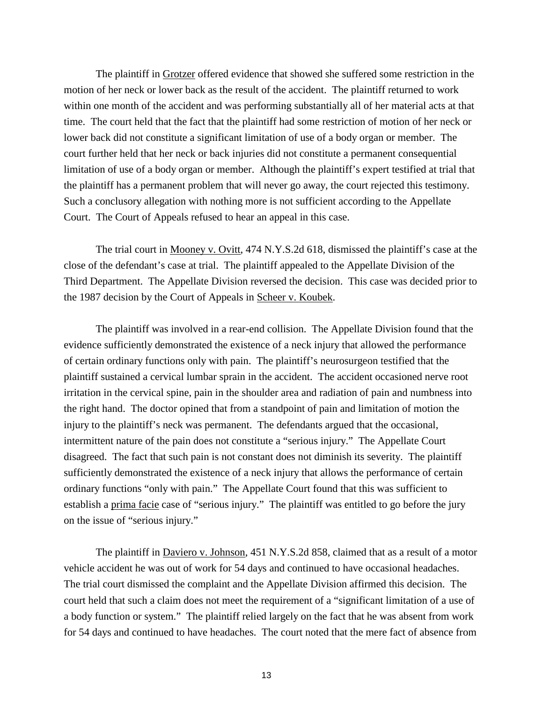The plaintiff in Grotzer offered evidence that showed she suffered some restriction in the motion of her neck or lower back as the result of the accident. The plaintiff returned to work within one month of the accident and was performing substantially all of her material acts at that time. The court held that the fact that the plaintiff had some restriction of motion of her neck or lower back did not constitute a significant limitation of use of a body organ or member. The court further held that her neck or back injuries did not constitute a permanent consequential limitation of use of a body organ or member. Although the plaintiff's expert testified at trial that the plaintiff has a permanent problem that will never go away, the court rejected this testimony. Such a conclusory allegation with nothing more is not sufficient according to the Appellate Court. The Court of Appeals refused to hear an appeal in this case.

 The trial court in Mooney v. Ovitt, 474 N.Y.S.2d 618, dismissed the plaintiff's case at the close of the defendant's case at trial. The plaintiff appealed to the Appellate Division of the Third Department. The Appellate Division reversed the decision. This case was decided prior to the 1987 decision by the Court of Appeals in Scheer v. Koubek.

 The plaintiff was involved in a rear-end collision. The Appellate Division found that the evidence sufficiently demonstrated the existence of a neck injury that allowed the performance of certain ordinary functions only with pain. The plaintiff's neurosurgeon testified that the plaintiff sustained a cervical lumbar sprain in the accident. The accident occasioned nerve root irritation in the cervical spine, pain in the shoulder area and radiation of pain and numbness into the right hand. The doctor opined that from a standpoint of pain and limitation of motion the injury to the plaintiff's neck was permanent. The defendants argued that the occasional, intermittent nature of the pain does not constitute a "serious injury." The Appellate Court disagreed. The fact that such pain is not constant does not diminish its severity. The plaintiff sufficiently demonstrated the existence of a neck injury that allows the performance of certain ordinary functions "only with pain." The Appellate Court found that this was sufficient to establish a prima facie case of "serious injury." The plaintiff was entitled to go before the jury on the issue of "serious injury."

 The plaintiff in Daviero v. Johnson, 451 N.Y.S.2d 858, claimed that as a result of a motor vehicle accident he was out of work for 54 days and continued to have occasional headaches. The trial court dismissed the complaint and the Appellate Division affirmed this decision. The court held that such a claim does not meet the requirement of a "significant limitation of a use of a body function or system." The plaintiff relied largely on the fact that he was absent from work for 54 days and continued to have headaches. The court noted that the mere fact of absence from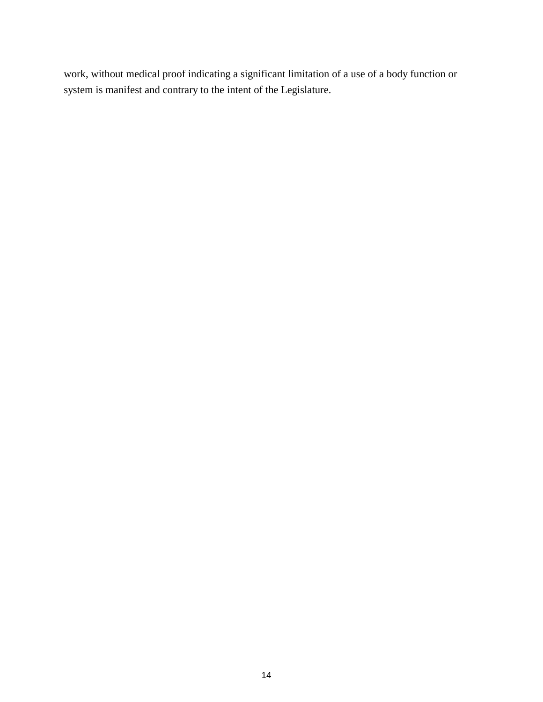work, without medical proof indicating a significant limitation of a use of a body function or system is manifest and contrary to the intent of the Legislature.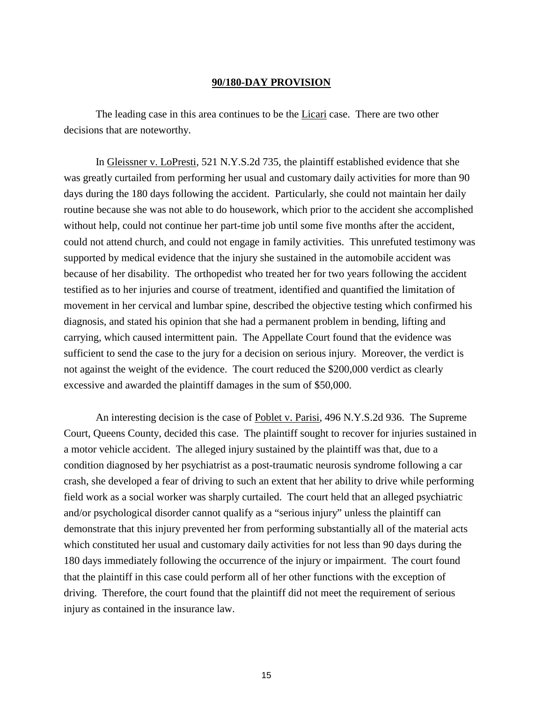#### **90/180-DAY PROVISION**

The leading case in this area continues to be the Licari case. There are two other decisions that are noteworthy.

 In Gleissner v. LoPresti, 521 N.Y.S.2d 735, the plaintiff established evidence that she was greatly curtailed from performing her usual and customary daily activities for more than 90 days during the 180 days following the accident. Particularly, she could not maintain her daily routine because she was not able to do housework, which prior to the accident she accomplished without help, could not continue her part-time job until some five months after the accident, could not attend church, and could not engage in family activities. This unrefuted testimony was supported by medical evidence that the injury she sustained in the automobile accident was because of her disability. The orthopedist who treated her for two years following the accident testified as to her injuries and course of treatment, identified and quantified the limitation of movement in her cervical and lumbar spine, described the objective testing which confirmed his diagnosis, and stated his opinion that she had a permanent problem in bending, lifting and carrying, which caused intermittent pain. The Appellate Court found that the evidence was sufficient to send the case to the jury for a decision on serious injury. Moreover, the verdict is not against the weight of the evidence. The court reduced the \$200,000 verdict as clearly excessive and awarded the plaintiff damages in the sum of \$50,000.

An interesting decision is the case of Poblet v. Parisi, 496 N.Y.S.2d 936. The Supreme Court, Queens County, decided this case. The plaintiff sought to recover for injuries sustained in a motor vehicle accident. The alleged injury sustained by the plaintiff was that, due to a condition diagnosed by her psychiatrist as a post-traumatic neurosis syndrome following a car crash, she developed a fear of driving to such an extent that her ability to drive while performing field work as a social worker was sharply curtailed. The court held that an alleged psychiatric and/or psychological disorder cannot qualify as a "serious injury" unless the plaintiff can demonstrate that this injury prevented her from performing substantially all of the material acts which constituted her usual and customary daily activities for not less than 90 days during the 180 days immediately following the occurrence of the injury or impairment. The court found that the plaintiff in this case could perform all of her other functions with the exception of driving. Therefore, the court found that the plaintiff did not meet the requirement of serious injury as contained in the insurance law.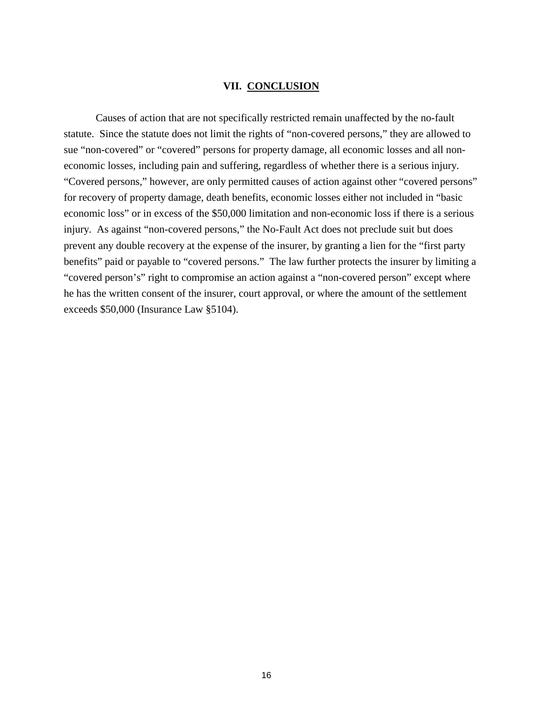#### **VII. CONCLUSION**

 Causes of action that are not specifically restricted remain unaffected by the no-fault statute. Since the statute does not limit the rights of "non-covered persons," they are allowed to sue "non-covered" or "covered" persons for property damage, all economic losses and all noneconomic losses, including pain and suffering, regardless of whether there is a serious injury. "Covered persons," however, are only permitted causes of action against other "covered persons" for recovery of property damage, death benefits, economic losses either not included in "basic economic loss" or in excess of the \$50,000 limitation and non-economic loss if there is a serious injury. As against "non-covered persons," the No-Fault Act does not preclude suit but does prevent any double recovery at the expense of the insurer, by granting a lien for the "first party benefits" paid or payable to "covered persons." The law further protects the insurer by limiting a "covered person's" right to compromise an action against a "non-covered person" except where he has the written consent of the insurer, court approval, or where the amount of the settlement exceeds \$50,000 (Insurance Law §5104).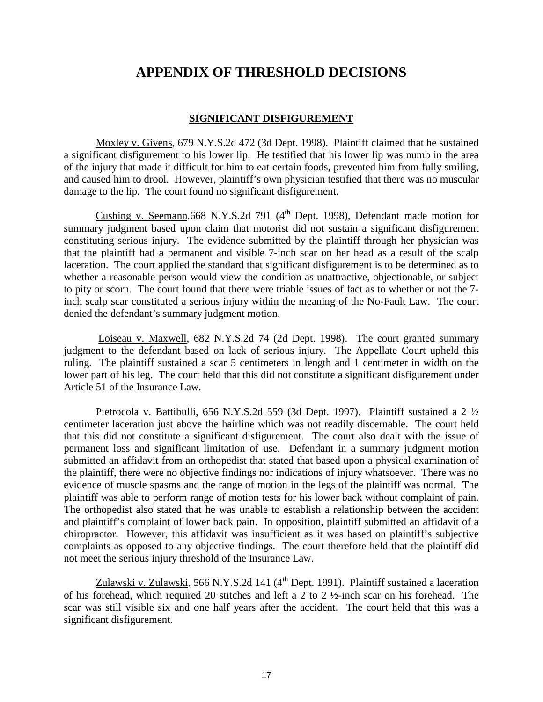# **APPENDIX OF THRESHOLD DECISIONS**

# **SIGNIFICANT DISFIGUREMENT**

 Moxley v. Givens, 679 N.Y.S.2d 472 (3d Dept. 1998). Plaintiff claimed that he sustained a significant disfigurement to his lower lip. He testified that his lower lip was numb in the area of the injury that made it difficult for him to eat certain foods, prevented him from fully smiling, and caused him to drool. However, plaintiff's own physician testified that there was no muscular damage to the lip. The court found no significant disfigurement.

Cushing v. Seemann, 668 N.Y.S.2d 791  $(4<sup>th</sup>$  Dept. 1998), Defendant made motion for summary judgment based upon claim that motorist did not sustain a significant disfigurement constituting serious injury. The evidence submitted by the plaintiff through her physician was that the plaintiff had a permanent and visible 7-inch scar on her head as a result of the scalp laceration. The court applied the standard that significant disfigurement is to be determined as to whether a reasonable person would view the condition as unattractive, objectionable, or subject to pity or scorn. The court found that there were triable issues of fact as to whether or not the 7 inch scalp scar constituted a serious injury within the meaning of the No-Fault Law. The court denied the defendant's summary judgment motion.

 Loiseau v. Maxwell, 682 N.Y.S.2d 74 (2d Dept. 1998). The court granted summary judgment to the defendant based on lack of serious injury. The Appellate Court upheld this ruling. The plaintiff sustained a scar 5 centimeters in length and 1 centimeter in width on the lower part of his leg. The court held that this did not constitute a significant disfigurement under Article 51 of the Insurance Law.

 Pietrocola v. Battibulli, 656 N.Y.S.2d 559 (3d Dept. 1997). Plaintiff sustained a 2 ½ centimeter laceration just above the hairline which was not readily discernable. The court held that this did not constitute a significant disfigurement. The court also dealt with the issue of permanent loss and significant limitation of use. Defendant in a summary judgment motion submitted an affidavit from an orthopedist that stated that based upon a physical examination of the plaintiff, there were no objective findings nor indications of injury whatsoever. There was no evidence of muscle spasms and the range of motion in the legs of the plaintiff was normal. The plaintiff was able to perform range of motion tests for his lower back without complaint of pain. The orthopedist also stated that he was unable to establish a relationship between the accident and plaintiff's complaint of lower back pain. In opposition, plaintiff submitted an affidavit of a chiropractor. However, this affidavit was insufficient as it was based on plaintiff's subjective complaints as opposed to any objective findings. The court therefore held that the plaintiff did not meet the serious injury threshold of the Insurance Law.

Zulawski v. Zulawski, 566 N.Y.S.2d 141 (4<sup>th</sup> Dept. 1991). Plaintiff sustained a laceration of his forehead, which required 20 stitches and left a 2 to 2 ½-inch scar on his forehead. The scar was still visible six and one half years after the accident. The court held that this was a significant disfigurement.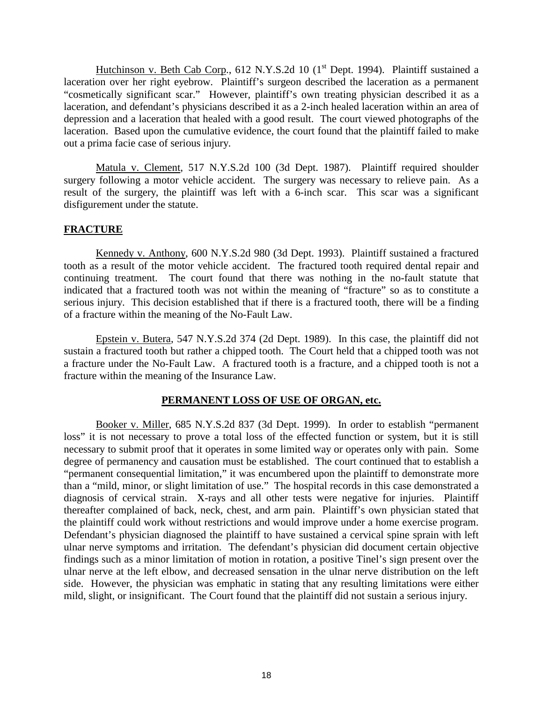Hutchinson v. Beth Cab Corp., 612 N.Y.S.2d 10  $(1<sup>st</sup>$  Dept. 1994). Plaintiff sustained a laceration over her right eyebrow. Plaintiff's surgeon described the laceration as a permanent "cosmetically significant scar." However, plaintiff's own treating physician described it as a laceration, and defendant's physicians described it as a 2-inch healed laceration within an area of depression and a laceration that healed with a good result. The court viewed photographs of the laceration. Based upon the cumulative evidence, the court found that the plaintiff failed to make out a prima facie case of serious injury.

 Matula v. Clement, 517 N.Y.S.2d 100 (3d Dept. 1987). Plaintiff required shoulder surgery following a motor vehicle accident. The surgery was necessary to relieve pain. As a result of the surgery, the plaintiff was left with a 6-inch scar. This scar was a significant disfigurement under the statute.

# **FRACTURE**

 Kennedy v. Anthony, 600 N.Y.S.2d 980 (3d Dept. 1993). Plaintiff sustained a fractured tooth as a result of the motor vehicle accident. The fractured tooth required dental repair and continuing treatment. The court found that there was nothing in the no-fault statute that indicated that a fractured tooth was not within the meaning of "fracture" so as to constitute a serious injury. This decision established that if there is a fractured tooth, there will be a finding of a fracture within the meaning of the No-Fault Law.

 Epstein v. Butera, 547 N.Y.S.2d 374 (2d Dept. 1989). In this case, the plaintiff did not sustain a fractured tooth but rather a chipped tooth. The Court held that a chipped tooth was not a fracture under the No-Fault Law. A fractured tooth is a fracture, and a chipped tooth is not a fracture within the meaning of the Insurance Law.

# **PERMANENT LOSS OF USE OF ORGAN, etc.**

 Booker v. Miller, 685 N.Y.S.2d 837 (3d Dept. 1999). In order to establish "permanent loss" it is not necessary to prove a total loss of the effected function or system, but it is still necessary to submit proof that it operates in some limited way or operates only with pain. Some degree of permanency and causation must be established. The court continued that to establish a "permanent consequential limitation," it was encumbered upon the plaintiff to demonstrate more than a "mild, minor, or slight limitation of use." The hospital records in this case demonstrated a diagnosis of cervical strain. X-rays and all other tests were negative for injuries. Plaintiff thereafter complained of back, neck, chest, and arm pain. Plaintiff's own physician stated that the plaintiff could work without restrictions and would improve under a home exercise program. Defendant's physician diagnosed the plaintiff to have sustained a cervical spine sprain with left ulnar nerve symptoms and irritation. The defendant's physician did document certain objective findings such as a minor limitation of motion in rotation, a positive Tinel's sign present over the ulnar nerve at the left elbow, and decreased sensation in the ulnar nerve distribution on the left side. However, the physician was emphatic in stating that any resulting limitations were either mild, slight, or insignificant. The Court found that the plaintiff did not sustain a serious injury.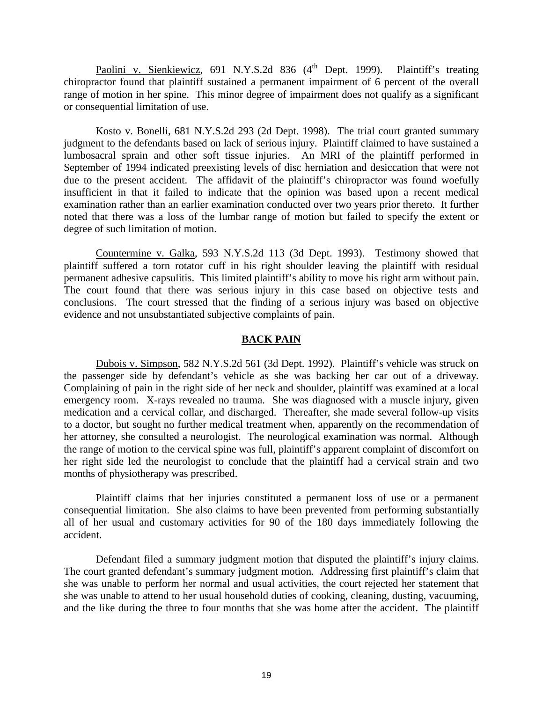Paolini v. Sienkiewicz, 691 N.Y.S.2d 836  $(4^{th}$  Dept. 1999). Plaintiff's treating chiropractor found that plaintiff sustained a permanent impairment of 6 percent of the overall range of motion in her spine. This minor degree of impairment does not qualify as a significant or consequential limitation of use.

 Kosto v. Bonelli, 681 N.Y.S.2d 293 (2d Dept. 1998). The trial court granted summary judgment to the defendants based on lack of serious injury. Plaintiff claimed to have sustained a lumbosacral sprain and other soft tissue injuries. An MRI of the plaintiff performed in September of 1994 indicated preexisting levels of disc herniation and desiccation that were not due to the present accident. The affidavit of the plaintiff's chiropractor was found woefully insufficient in that it failed to indicate that the opinion was based upon a recent medical examination rather than an earlier examination conducted over two years prior thereto. It further noted that there was a loss of the lumbar range of motion but failed to specify the extent or degree of such limitation of motion.

 Countermine v. Galka, 593 N.Y.S.2d 113 (3d Dept. 1993). Testimony showed that plaintiff suffered a torn rotator cuff in his right shoulder leaving the plaintiff with residual permanent adhesive capsulitis. This limited plaintiff's ability to move his right arm without pain. The court found that there was serious injury in this case based on objective tests and conclusions. The court stressed that the finding of a serious injury was based on objective evidence and not unsubstantiated subjective complaints of pain.

# **BACK PAIN**

 Dubois v. Simpson, 582 N.Y.S.2d 561 (3d Dept. 1992). Plaintiff's vehicle was struck on the passenger side by defendant's vehicle as she was backing her car out of a driveway. Complaining of pain in the right side of her neck and shoulder, plaintiff was examined at a local emergency room. X-rays revealed no trauma. She was diagnosed with a muscle injury, given medication and a cervical collar, and discharged. Thereafter, she made several follow-up visits to a doctor, but sought no further medical treatment when, apparently on the recommendation of her attorney, she consulted a neurologist. The neurological examination was normal. Although the range of motion to the cervical spine was full, plaintiff's apparent complaint of discomfort on her right side led the neurologist to conclude that the plaintiff had a cervical strain and two months of physiotherapy was prescribed.

 Plaintiff claims that her injuries constituted a permanent loss of use or a permanent consequential limitation. She also claims to have been prevented from performing substantially all of her usual and customary activities for 90 of the 180 days immediately following the accident.

 Defendant filed a summary judgment motion that disputed the plaintiff's injury claims. The court granted defendant's summary judgment motion. Addressing first plaintiff's claim that she was unable to perform her normal and usual activities, the court rejected her statement that she was unable to attend to her usual household duties of cooking, cleaning, dusting, vacuuming, and the like during the three to four months that she was home after the accident. The plaintiff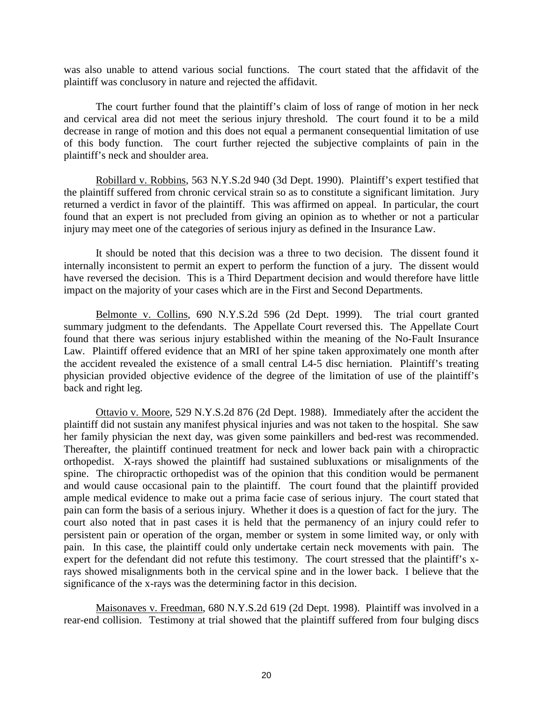was also unable to attend various social functions. The court stated that the affidavit of the plaintiff was conclusory in nature and rejected the affidavit.

 The court further found that the plaintiff's claim of loss of range of motion in her neck and cervical area did not meet the serious injury threshold. The court found it to be a mild decrease in range of motion and this does not equal a permanent consequential limitation of use of this body function. The court further rejected the subjective complaints of pain in the plaintiff's neck and shoulder area.

 Robillard v. Robbins, 563 N.Y.S.2d 940 (3d Dept. 1990). Plaintiff's expert testified that the plaintiff suffered from chronic cervical strain so as to constitute a significant limitation. Jury returned a verdict in favor of the plaintiff. This was affirmed on appeal. In particular, the court found that an expert is not precluded from giving an opinion as to whether or not a particular injury may meet one of the categories of serious injury as defined in the Insurance Law.

 It should be noted that this decision was a three to two decision. The dissent found it internally inconsistent to permit an expert to perform the function of a jury. The dissent would have reversed the decision. This is a Third Department decision and would therefore have little impact on the majority of your cases which are in the First and Second Departments.

 Belmonte v. Collins, 690 N.Y.S.2d 596 (2d Dept. 1999). The trial court granted summary judgment to the defendants. The Appellate Court reversed this. The Appellate Court found that there was serious injury established within the meaning of the No-Fault Insurance Law. Plaintiff offered evidence that an MRI of her spine taken approximately one month after the accident revealed the existence of a small central L4-5 disc herniation. Plaintiff's treating physician provided objective evidence of the degree of the limitation of use of the plaintiff's back and right leg.

 Ottavio v. Moore, 529 N.Y.S.2d 876 (2d Dept. 1988). Immediately after the accident the plaintiff did not sustain any manifest physical injuries and was not taken to the hospital. She saw her family physician the next day, was given some painkillers and bed-rest was recommended. Thereafter, the plaintiff continued treatment for neck and lower back pain with a chiropractic orthopedist. X-rays showed the plaintiff had sustained subluxations or misalignments of the spine. The chiropractic orthopedist was of the opinion that this condition would be permanent and would cause occasional pain to the plaintiff. The court found that the plaintiff provided ample medical evidence to make out a prima facie case of serious injury. The court stated that pain can form the basis of a serious injury. Whether it does is a question of fact for the jury. The court also noted that in past cases it is held that the permanency of an injury could refer to persistent pain or operation of the organ, member or system in some limited way, or only with pain. In this case, the plaintiff could only undertake certain neck movements with pain. The expert for the defendant did not refute this testimony. The court stressed that the plaintiff's xrays showed misalignments both in the cervical spine and in the lower back. I believe that the significance of the x-rays was the determining factor in this decision.

 Maisonaves v. Freedman, 680 N.Y.S.2d 619 (2d Dept. 1998). Plaintiff was involved in a rear-end collision. Testimony at trial showed that the plaintiff suffered from four bulging discs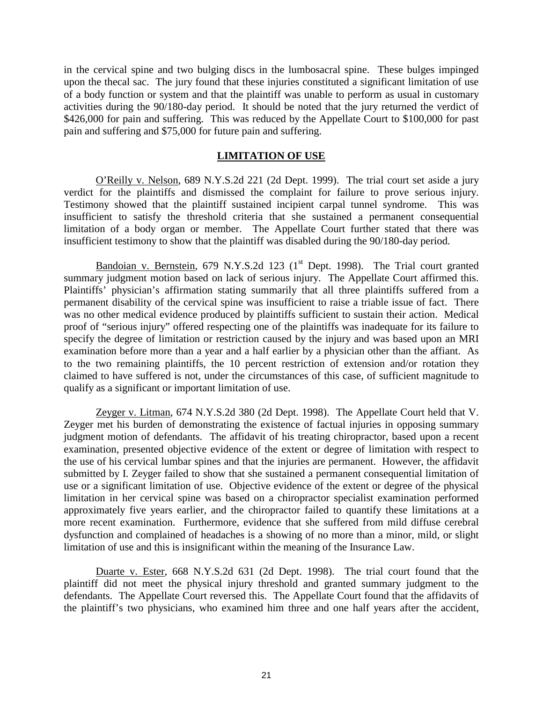in the cervical spine and two bulging discs in the lumbosacral spine. These bulges impinged upon the thecal sac. The jury found that these injuries constituted a significant limitation of use of a body function or system and that the plaintiff was unable to perform as usual in customary activities during the 90/180-day period. It should be noted that the jury returned the verdict of \$426,000 for pain and suffering. This was reduced by the Appellate Court to \$100,000 for past pain and suffering and \$75,000 for future pain and suffering.

# **LIMITATION OF USE**

 O'Reilly v. Nelson, 689 N.Y.S.2d 221 (2d Dept. 1999). The trial court set aside a jury verdict for the plaintiffs and dismissed the complaint for failure to prove serious injury. Testimony showed that the plaintiff sustained incipient carpal tunnel syndrome. This was insufficient to satisfy the threshold criteria that she sustained a permanent consequential limitation of a body organ or member. The Appellate Court further stated that there was insufficient testimony to show that the plaintiff was disabled during the 90/180-day period.

Bandoian v. Bernstein, 679 N.Y.S.2d 123 ( $1<sup>st</sup>$  Dept. 1998). The Trial court granted summary judgment motion based on lack of serious injury. The Appellate Court affirmed this. Plaintiffs' physician's affirmation stating summarily that all three plaintiffs suffered from a permanent disability of the cervical spine was insufficient to raise a triable issue of fact. There was no other medical evidence produced by plaintiffs sufficient to sustain their action. Medical proof of "serious injury" offered respecting one of the plaintiffs was inadequate for its failure to specify the degree of limitation or restriction caused by the injury and was based upon an MRI examination before more than a year and a half earlier by a physician other than the affiant. As to the two remaining plaintiffs, the 10 percent restriction of extension and/or rotation they claimed to have suffered is not, under the circumstances of this case, of sufficient magnitude to qualify as a significant or important limitation of use.

 Zeyger v. Litman, 674 N.Y.S.2d 380 (2d Dept. 1998). The Appellate Court held that V. Zeyger met his burden of demonstrating the existence of factual injuries in opposing summary judgment motion of defendants. The affidavit of his treating chiropractor, based upon a recent examination, presented objective evidence of the extent or degree of limitation with respect to the use of his cervical lumbar spines and that the injuries are permanent. However, the affidavit submitted by I. Zeyger failed to show that she sustained a permanent consequential limitation of use or a significant limitation of use. Objective evidence of the extent or degree of the physical limitation in her cervical spine was based on a chiropractor specialist examination performed approximately five years earlier, and the chiropractor failed to quantify these limitations at a more recent examination. Furthermore, evidence that she suffered from mild diffuse cerebral dysfunction and complained of headaches is a showing of no more than a minor, mild, or slight limitation of use and this is insignificant within the meaning of the Insurance Law.

 Duarte v. Ester, 668 N.Y.S.2d 631 (2d Dept. 1998). The trial court found that the plaintiff did not meet the physical injury threshold and granted summary judgment to the defendants. The Appellate Court reversed this. The Appellate Court found that the affidavits of the plaintiff's two physicians, who examined him three and one half years after the accident,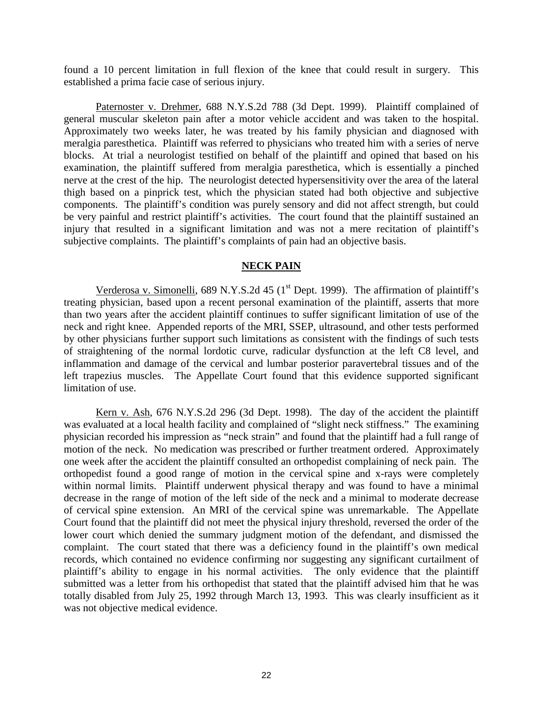found a 10 percent limitation in full flexion of the knee that could result in surgery. This established a prima facie case of serious injury.

Paternoster v. Drehmer, 688 N.Y.S.2d 788 (3d Dept. 1999). Plaintiff complained of general muscular skeleton pain after a motor vehicle accident and was taken to the hospital. Approximately two weeks later, he was treated by his family physician and diagnosed with meralgia paresthetica. Plaintiff was referred to physicians who treated him with a series of nerve blocks. At trial a neurologist testified on behalf of the plaintiff and opined that based on his examination, the plaintiff suffered from meralgia paresthetica, which is essentially a pinched nerve at the crest of the hip. The neurologist detected hypersensitivity over the area of the lateral thigh based on a pinprick test, which the physician stated had both objective and subjective components. The plaintiff's condition was purely sensory and did not affect strength, but could be very painful and restrict plaintiff's activities. The court found that the plaintiff sustained an injury that resulted in a significant limitation and was not a mere recitation of plaintiff's subjective complaints. The plaintiff's complaints of pain had an objective basis.

# **NECK PAIN**

Verderosa v. Simonelli, 689 N.Y.S.2d 45 ( $1<sup>st</sup>$  Dept. 1999). The affirmation of plaintiff's treating physician, based upon a recent personal examination of the plaintiff, asserts that more than two years after the accident plaintiff continues to suffer significant limitation of use of the neck and right knee. Appended reports of the MRI, SSEP, ultrasound, and other tests performed by other physicians further support such limitations as consistent with the findings of such tests of straightening of the normal lordotic curve, radicular dysfunction at the left C8 level, and inflammation and damage of the cervical and lumbar posterior paravertebral tissues and of the left trapezius muscles. The Appellate Court found that this evidence supported significant limitation of use.

 Kern v. Ash, 676 N.Y.S.2d 296 (3d Dept. 1998). The day of the accident the plaintiff was evaluated at a local health facility and complained of "slight neck stiffness." The examining physician recorded his impression as "neck strain" and found that the plaintiff had a full range of motion of the neck. No medication was prescribed or further treatment ordered. Approximately one week after the accident the plaintiff consulted an orthopedist complaining of neck pain. The orthopedist found a good range of motion in the cervical spine and x-rays were completely within normal limits. Plaintiff underwent physical therapy and was found to have a minimal decrease in the range of motion of the left side of the neck and a minimal to moderate decrease of cervical spine extension. An MRI of the cervical spine was unremarkable. The Appellate Court found that the plaintiff did not meet the physical injury threshold, reversed the order of the lower court which denied the summary judgment motion of the defendant, and dismissed the complaint. The court stated that there was a deficiency found in the plaintiff's own medical records, which contained no evidence confirming nor suggesting any significant curtailment of plaintiff's ability to engage in his normal activities. The only evidence that the plaintiff submitted was a letter from his orthopedist that stated that the plaintiff advised him that he was totally disabled from July 25, 1992 through March 13, 1993. This was clearly insufficient as it was not objective medical evidence.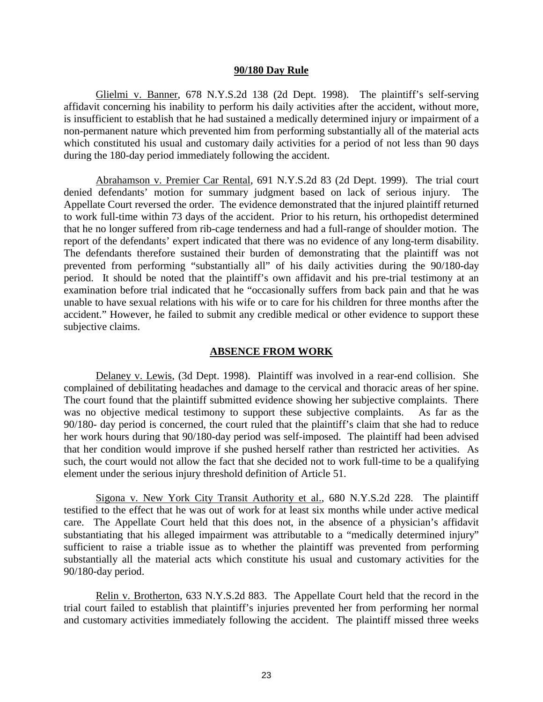#### **90/180 Day Rule**

 Glielmi v. Banner, 678 N.Y.S.2d 138 (2d Dept. 1998). The plaintiff's self-serving affidavit concerning his inability to perform his daily activities after the accident, without more, is insufficient to establish that he had sustained a medically determined injury or impairment of a non-permanent nature which prevented him from performing substantially all of the material acts which constituted his usual and customary daily activities for a period of not less than 90 days during the 180-day period immediately following the accident.

 Abrahamson v. Premier Car Rental, 691 N.Y.S.2d 83 (2d Dept. 1999). The trial court denied defendants' motion for summary judgment based on lack of serious injury. The Appellate Court reversed the order. The evidence demonstrated that the injured plaintiff returned to work full-time within 73 days of the accident. Prior to his return, his orthopedist determined that he no longer suffered from rib-cage tenderness and had a full-range of shoulder motion. The report of the defendants' expert indicated that there was no evidence of any long-term disability. The defendants therefore sustained their burden of demonstrating that the plaintiff was not prevented from performing "substantially all" of his daily activities during the 90/180-day period. It should be noted that the plaintiff's own affidavit and his pre-trial testimony at an examination before trial indicated that he "occasionally suffers from back pain and that he was unable to have sexual relations with his wife or to care for his children for three months after the accident." However, he failed to submit any credible medical or other evidence to support these subjective claims.

#### **ABSENCE FROM WORK**

 Delaney v. Lewis, (3d Dept. 1998). Plaintiff was involved in a rear-end collision. She complained of debilitating headaches and damage to the cervical and thoracic areas of her spine. The court found that the plaintiff submitted evidence showing her subjective complaints. There was no objective medical testimony to support these subjective complaints. As far as the 90/180- day period is concerned, the court ruled that the plaintiff's claim that she had to reduce her work hours during that 90/180-day period was self-imposed. The plaintiff had been advised that her condition would improve if she pushed herself rather than restricted her activities. As such, the court would not allow the fact that she decided not to work full-time to be a qualifying element under the serious injury threshold definition of Article 51.

 Sigona v. New York City Transit Authority et al., 680 N.Y.S.2d 228. The plaintiff testified to the effect that he was out of work for at least six months while under active medical care. The Appellate Court held that this does not, in the absence of a physician's affidavit substantiating that his alleged impairment was attributable to a "medically determined injury" sufficient to raise a triable issue as to whether the plaintiff was prevented from performing substantially all the material acts which constitute his usual and customary activities for the 90/180-day period.

 Relin v. Brotherton, 633 N.Y.S.2d 883. The Appellate Court held that the record in the trial court failed to establish that plaintiff's injuries prevented her from performing her normal and customary activities immediately following the accident. The plaintiff missed three weeks